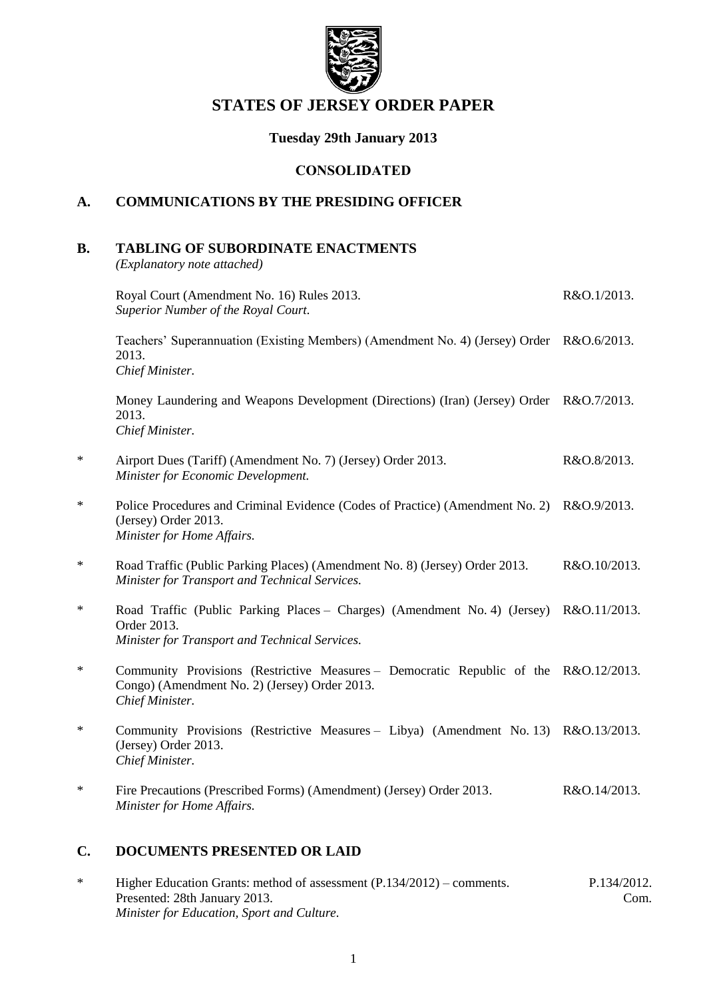

# **STATES OF JERSEY ORDER PAPER**

# **Tuesday 29th January 2013**

## **CONSOLIDATED**

# **A. COMMUNICATIONS BY THE PRESIDING OFFICER**

## **B. TABLING OF SUBORDINATE ENACTMENTS**

*(Explanatory note attached)*

|        | Royal Court (Amendment No. 16) Rules 2013.<br>Superior Number of the Royal Court.                                                                        | R&O.1/2013.  |
|--------|----------------------------------------------------------------------------------------------------------------------------------------------------------|--------------|
|        | Teachers' Superannuation (Existing Members) (Amendment No. 4) (Jersey) Order R&O.6/2013.<br>2013.<br>Chief Minister.                                     |              |
|        | Money Laundering and Weapons Development (Directions) (Iran) (Jersey) Order R&O.7/2013.<br>2013.<br>Chief Minister.                                      |              |
| $\ast$ | Airport Dues (Tariff) (Amendment No. 7) (Jersey) Order 2013.<br>Minister for Economic Development.                                                       | R&O.8/2013.  |
| $\ast$ | Police Procedures and Criminal Evidence (Codes of Practice) (Amendment No. 2)<br>(Jersey) Order 2013.<br>Minister for Home Affairs.                      | R&O.9/2013.  |
| $\ast$ | Road Traffic (Public Parking Places) (Amendment No. 8) (Jersey) Order 2013.<br>Minister for Transport and Technical Services.                            | R&O.10/2013. |
| ∗      | Road Traffic (Public Parking Places - Charges) (Amendment No. 4) (Jersey) R&O.11/2013.<br>Order 2013.<br>Minister for Transport and Technical Services.  |              |
| ∗      | Community Provisions (Restrictive Measures – Democratic Republic of the R&O.12/2013.<br>Congo) (Amendment No. 2) (Jersey) Order 2013.<br>Chief Minister. |              |
| ∗      | Community Provisions (Restrictive Measures - Libya) (Amendment No. 13) R&O.13/2013.<br>(Jersey) Order 2013.<br>Chief Minister.                           |              |
| ∗      | Fire Precautions (Prescribed Forms) (Amendment) (Jersey) Order 2013.<br>Minister for Home Affairs.                                                       | R&O.14/2013. |
|        |                                                                                                                                                          |              |

# **C. DOCUMENTS PRESENTED OR LAID**

\* Higher Education Grants: method of assessment (P.134/2012) – comments. Presented: 28th January 2013. *Minister for Education, Sport and Culture.* P.134/2012. Com.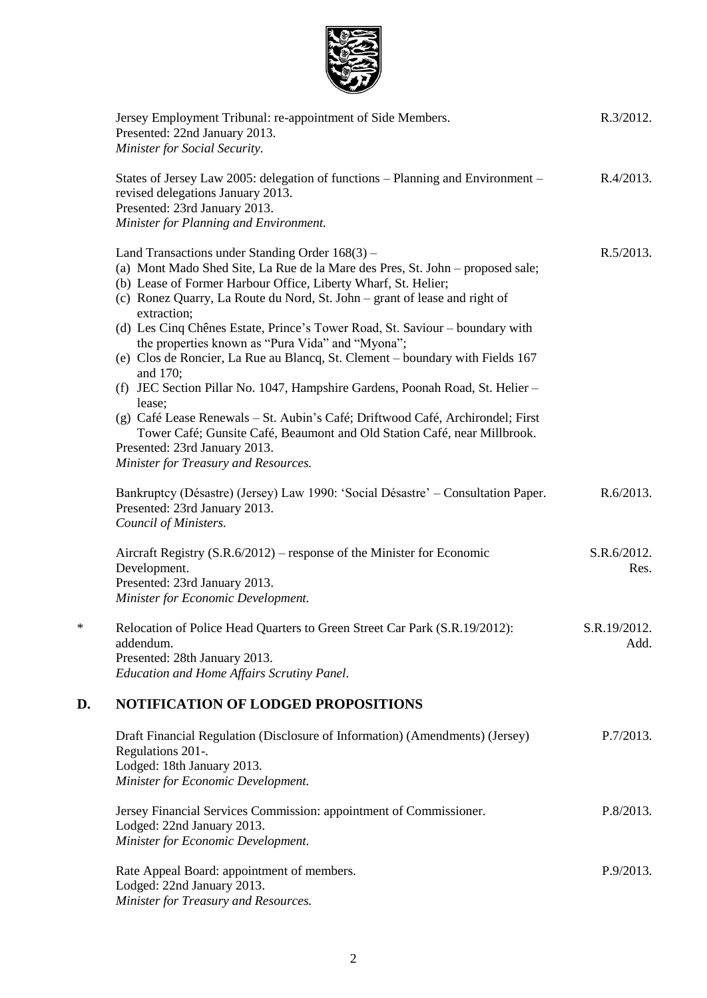

|        | Jersey Employment Tribunal: re-appointment of Side Members.<br>Presented: 22nd January 2013.<br>Minister for Social Security.                                                                                                                                                                                                                                                                                                                                                                                                                                                                                                                                                                                                                                                                                                                                       | R.3/2012.            |
|--------|---------------------------------------------------------------------------------------------------------------------------------------------------------------------------------------------------------------------------------------------------------------------------------------------------------------------------------------------------------------------------------------------------------------------------------------------------------------------------------------------------------------------------------------------------------------------------------------------------------------------------------------------------------------------------------------------------------------------------------------------------------------------------------------------------------------------------------------------------------------------|----------------------|
|        | States of Jersey Law 2005: delegation of functions – Planning and Environment –<br>revised delegations January 2013.<br>Presented: 23rd January 2013.<br>Minister for Planning and Environment.                                                                                                                                                                                                                                                                                                                                                                                                                                                                                                                                                                                                                                                                     | R.4/2013.            |
|        | Land Transactions under Standing Order 168(3) -<br>(a) Mont Mado Shed Site, La Rue de la Mare des Pres, St. John - proposed sale;<br>(b) Lease of Former Harbour Office, Liberty Wharf, St. Helier;<br>(c) Ronez Quarry, La Route du Nord, St. John – grant of lease and right of<br>extraction;<br>(d) Les Cinq Chênes Estate, Prince's Tower Road, St. Saviour – boundary with<br>the properties known as "Pura Vida" and "Myona";<br>(e) Clos de Roncier, La Rue au Blancq, St. Clement - boundary with Fields 167<br>and 170;<br>(f) JEC Section Pillar No. 1047, Hampshire Gardens, Poonah Road, St. Helier -<br>lease;<br>(g) Café Lease Renewals - St. Aubin's Café; Driftwood Café, Archirondel; First<br>Tower Café; Gunsite Café, Beaumont and Old Station Café, near Millbrook.<br>Presented: 23rd January 2013.<br>Minister for Treasury and Resources. | R.5/2013.            |
|        | Bankruptcy (Désastre) (Jersey) Law 1990: 'Social Désastre' – Consultation Paper.<br>Presented: 23rd January 2013.<br>Council of Ministers.                                                                                                                                                                                                                                                                                                                                                                                                                                                                                                                                                                                                                                                                                                                          | R.6/2013.            |
|        | Aircraft Registry (S.R.6/2012) – response of the Minister for Economic<br>Development.<br>Presented: 23rd January 2013.<br>Minister for Economic Development.                                                                                                                                                                                                                                                                                                                                                                                                                                                                                                                                                                                                                                                                                                       | S.R.6/2012.<br>Res.  |
| $\ast$ | Relocation of Police Head Quarters to Green Street Car Park (S.R.19/2012):<br>addendum.<br>Presented: 28th January 2013.<br><b>Education and Home Affairs Scrutiny Panel.</b>                                                                                                                                                                                                                                                                                                                                                                                                                                                                                                                                                                                                                                                                                       | S.R.19/2012.<br>Add. |
| D.     | <b>NOTIFICATION OF LODGED PROPOSITIONS</b>                                                                                                                                                                                                                                                                                                                                                                                                                                                                                                                                                                                                                                                                                                                                                                                                                          |                      |
|        | Draft Financial Regulation (Disclosure of Information) (Amendments) (Jersey)<br>Regulations 201-.<br>Lodged: 18th January 2013.<br>Minister for Economic Development.                                                                                                                                                                                                                                                                                                                                                                                                                                                                                                                                                                                                                                                                                               | $P.7/2013$ .         |
|        | Jersey Financial Services Commission: appointment of Commissioner.<br>Lodged: 22nd January 2013.<br>Minister for Economic Development.                                                                                                                                                                                                                                                                                                                                                                                                                                                                                                                                                                                                                                                                                                                              | $P.8/2013$ .         |
|        | Rate Appeal Board: appointment of members.<br>Lodged: 22nd January 2013.<br>Minister for Treasury and Resources.                                                                                                                                                                                                                                                                                                                                                                                                                                                                                                                                                                                                                                                                                                                                                    | $P.9/2013$ .         |
|        |                                                                                                                                                                                                                                                                                                                                                                                                                                                                                                                                                                                                                                                                                                                                                                                                                                                                     |                      |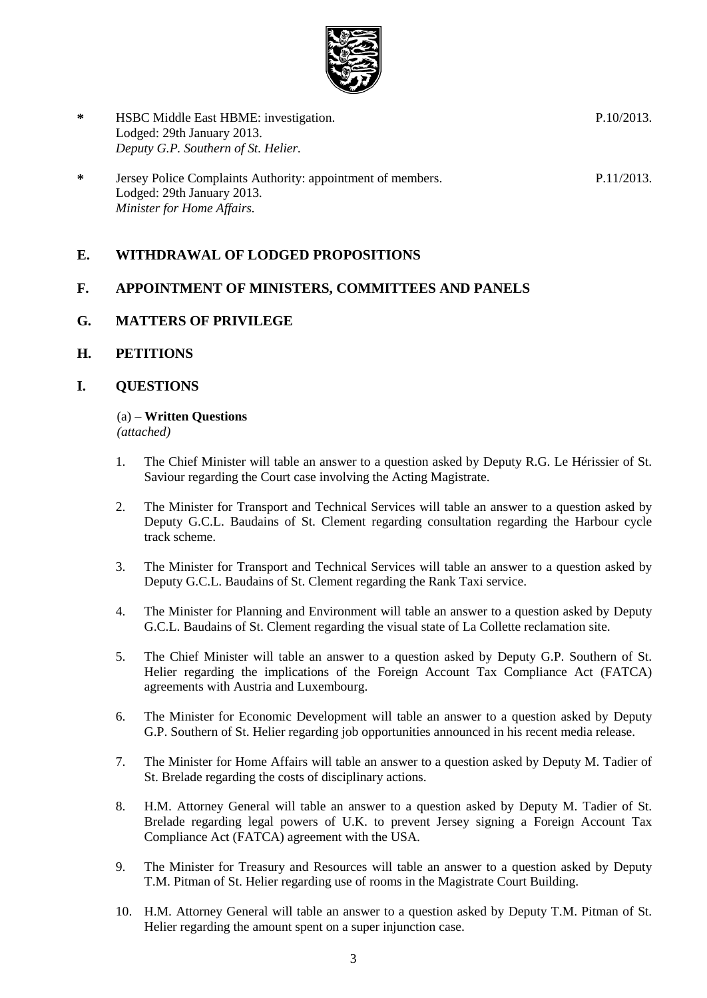

**\*** HSBC Middle East HBME: investigation. Lodged: 29th January 2013. *Deputy G.P. Southern of St. Helier.* P.10/2013. **\*** Jersey Police Complaints Authority: appointment of members. Lodged: 29th January 2013. *Minister for Home Affairs.* P.11/2013.

## **E. WITHDRAWAL OF LODGED PROPOSITIONS**

## **F. APPOINTMENT OF MINISTERS, COMMITTEES AND PANELS**

## **G. MATTERS OF PRIVILEGE**

**H. PETITIONS**

## **I. QUESTIONS**

#### (a) – **Written Questions**

*(attached)*

- 1. The Chief Minister will table an answer to a question asked by Deputy R.G. Le Hérissier of St. Saviour regarding the Court case involving the Acting Magistrate.
- 2. The Minister for Transport and Technical Services will table an answer to a question asked by Deputy G.C.L. Baudains of St. Clement regarding consultation regarding the Harbour cycle track scheme.
- 3. The Minister for Transport and Technical Services will table an answer to a question asked by Deputy G.C.L. Baudains of St. Clement regarding the Rank Taxi service.
- 4. The Minister for Planning and Environment will table an answer to a question asked by Deputy G.C.L. Baudains of St. Clement regarding the visual state of La Collette reclamation site.
- 5. The Chief Minister will table an answer to a question asked by Deputy G.P. Southern of St. Helier regarding the implications of the Foreign Account Tax Compliance Act (FATCA) agreements with Austria and Luxembourg.
- 6. The Minister for Economic Development will table an answer to a question asked by Deputy G.P. Southern of St. Helier regarding job opportunities announced in his recent media release.
- 7. The Minister for Home Affairs will table an answer to a question asked by Deputy M. Tadier of St. Brelade regarding the costs of disciplinary actions.
- 8. H.M. Attorney General will table an answer to a question asked by Deputy M. Tadier of St. Brelade regarding legal powers of U.K. to prevent Jersey signing a Foreign Account Tax Compliance Act (FATCA) agreement with the USA.
- 9. The Minister for Treasury and Resources will table an answer to a question asked by Deputy T.M. Pitman of St. Helier regarding use of rooms in the Magistrate Court Building.
- 10. H.M. Attorney General will table an answer to a question asked by Deputy T.M. Pitman of St. Helier regarding the amount spent on a super injunction case.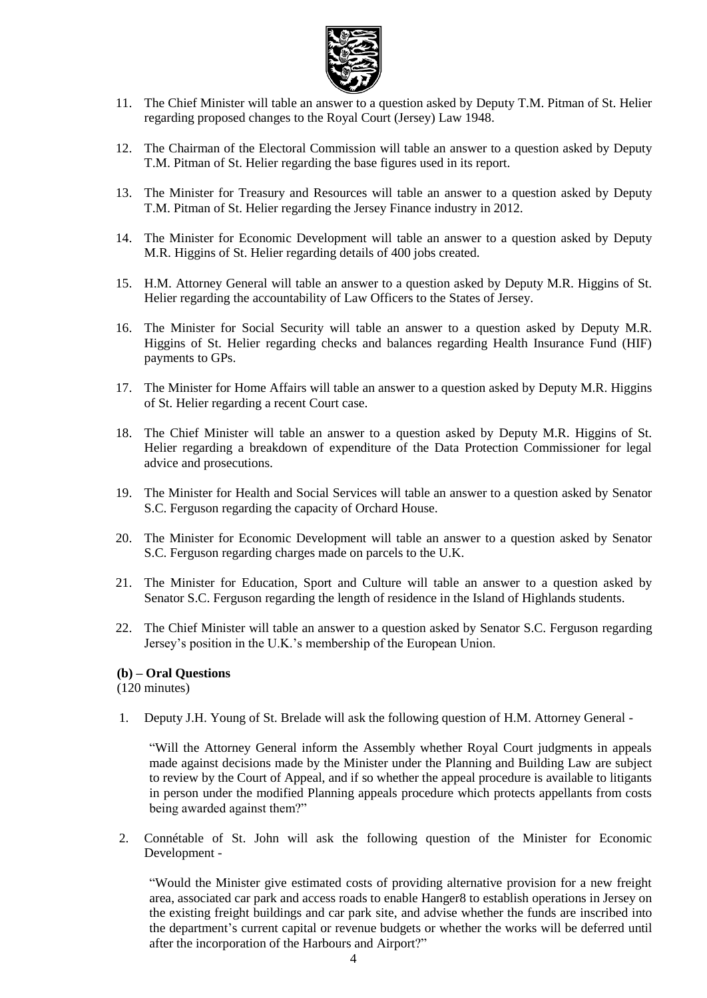

- 11. The Chief Minister will table an answer to a question asked by Deputy T.M. Pitman of St. Helier regarding proposed changes to the Royal Court (Jersey) Law 1948.
- 12. The Chairman of the Electoral Commission will table an answer to a question asked by Deputy T.M. Pitman of St. Helier regarding the base figures used in its report.
- 13. The Minister for Treasury and Resources will table an answer to a question asked by Deputy T.M. Pitman of St. Helier regarding the Jersey Finance industry in 2012.
- 14. The Minister for Economic Development will table an answer to a question asked by Deputy M.R. Higgins of St. Helier regarding details of 400 jobs created.
- 15. H.M. Attorney General will table an answer to a question asked by Deputy M.R. Higgins of St. Helier regarding the accountability of Law Officers to the States of Jersey.
- 16. The Minister for Social Security will table an answer to a question asked by Deputy M.R. Higgins of St. Helier regarding checks and balances regarding Health Insurance Fund (HIF) payments to GPs.
- 17. The Minister for Home Affairs will table an answer to a question asked by Deputy M.R. Higgins of St. Helier regarding a recent Court case.
- 18. The Chief Minister will table an answer to a question asked by Deputy M.R. Higgins of St. Helier regarding a breakdown of expenditure of the Data Protection Commissioner for legal advice and prosecutions.
- 19. The Minister for Health and Social Services will table an answer to a question asked by Senator S.C. Ferguson regarding the capacity of Orchard House.
- 20. The Minister for Economic Development will table an answer to a question asked by Senator S.C. Ferguson regarding charges made on parcels to the U.K.
- 21. The Minister for Education, Sport and Culture will table an answer to a question asked by Senator S.C. Ferguson regarding the length of residence in the Island of Highlands students.
- 22. The Chief Minister will table an answer to a question asked by Senator S.C. Ferguson regarding Jersey's position in the U.K.'s membership of the European Union.

#### **(b) – Oral Questions**

(120 minutes)

1. Deputy J.H. Young of St. Brelade will ask the following question of H.M. Attorney General -

"Will the Attorney General inform the Assembly whether Royal Court judgments in appeals made against decisions made by the Minister under the Planning and Building Law are subject to review by the Court of Appeal, and if so whether the appeal procedure is available to litigants in person under the modified Planning appeals procedure which protects appellants from costs being awarded against them?"

2. Connétable of St. John will ask the following question of the Minister for Economic Development -

"Would the Minister give estimated costs of providing alternative provision for a new freight area, associated car park and access roads to enable Hanger8 to establish operations in Jersey on the existing freight buildings and car park site, and advise whether the funds are inscribed into the department's current capital or revenue budgets or whether the works will be deferred until after the incorporation of the Harbours and Airport?"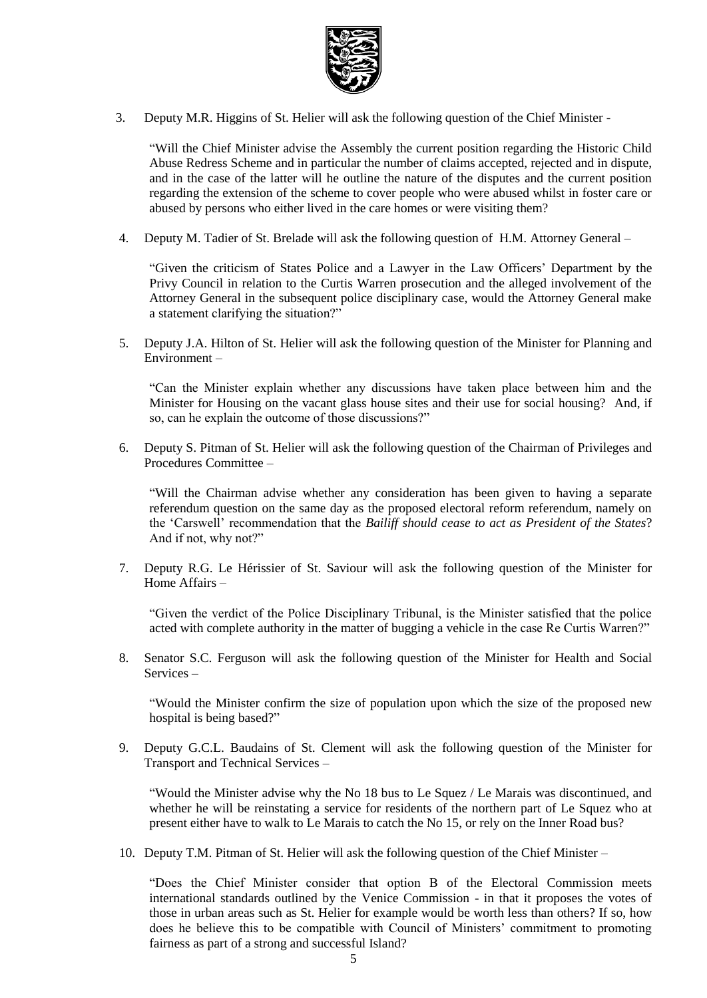

3. Deputy M.R. Higgins of St. Helier will ask the following question of the Chief Minister -

"Will the Chief Minister advise the Assembly the current position regarding the Historic Child Abuse Redress Scheme and in particular the number of claims accepted, rejected and in dispute, and in the case of the latter will he outline the nature of the disputes and the current position regarding the extension of the scheme to cover people who were abused whilst in foster care or abused by persons who either lived in the care homes or were visiting them?

4. Deputy M. Tadier of St. Brelade will ask the following question of H.M. Attorney General –

"Given the criticism of States Police and a Lawyer in the Law Officers' Department by the Privy Council in relation to the Curtis Warren prosecution and the alleged involvement of the Attorney General in the subsequent police disciplinary case, would the Attorney General make a statement clarifying the situation?"

5. Deputy J.A. Hilton of St. Helier will ask the following question of the Minister for Planning and Environment –

"Can the Minister explain whether any discussions have taken place between him and the Minister for Housing on the vacant glass house sites and their use for social housing? And, if so, can he explain the outcome of those discussions?"

6. Deputy S. Pitman of St. Helier will ask the following question of the Chairman of Privileges and Procedures Committee –

"Will the Chairman advise whether any consideration has been given to having a separate referendum question on the same day as the proposed electoral reform referendum, namely on the 'Carswell' recommendation that the *Bailiff should cease to act as President of the States*? And if not, why not?"

7. Deputy R.G. Le Hérissier of St. Saviour will ask the following question of the Minister for Home Affairs –

"Given the verdict of the Police Disciplinary Tribunal, is the Minister satisfied that the police acted with complete authority in the matter of bugging a vehicle in the case Re Curtis Warren?"

8. Senator S.C. Ferguson will ask the following question of the Minister for Health and Social Services –

"Would the Minister confirm the size of population upon which the size of the proposed new hospital is being based?"

9. Deputy G.C.L. Baudains of St. Clement will ask the following question of the Minister for Transport and Technical Services –

"Would the Minister advise why the No 18 bus to Le Squez / Le Marais was discontinued, and whether he will be reinstating a service for residents of the northern part of Le Squez who at present either have to walk to Le Marais to catch the No 15, or rely on the Inner Road bus?

10. Deputy T.M. Pitman of St. Helier will ask the following question of the Chief Minister –

"Does the Chief Minister consider that option B of the Electoral Commission meets international standards outlined by the Venice Commission - in that it proposes the votes of those in urban areas such as St. Helier for example would be worth less than others? If so, how does he believe this to be compatible with Council of Ministers' commitment to promoting fairness as part of a strong and successful Island?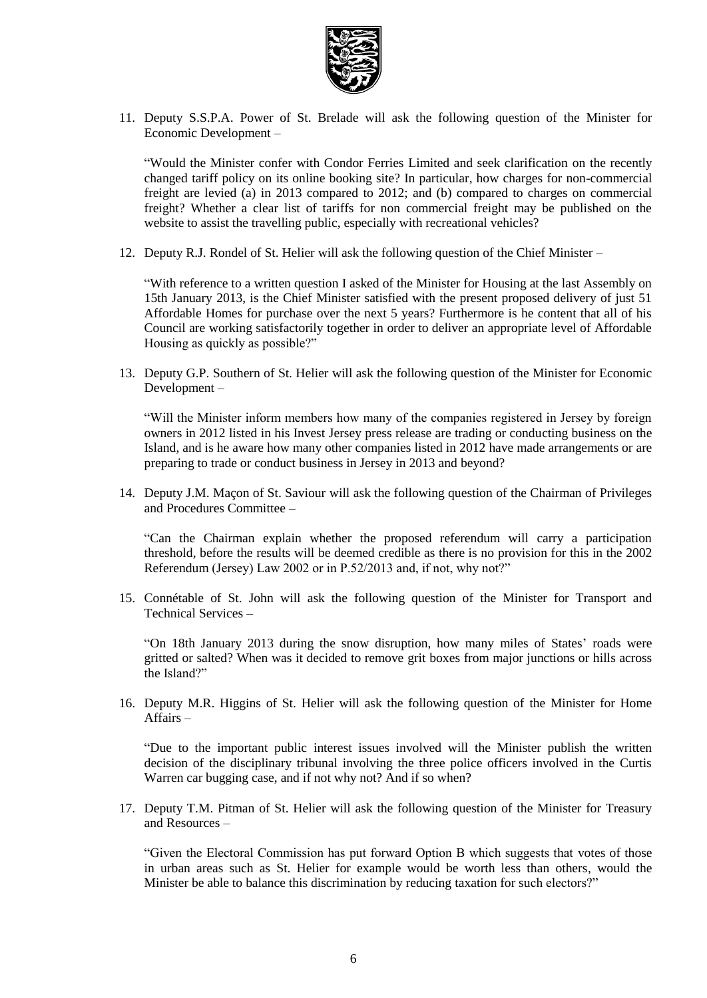

11. Deputy S.S.P.A. Power of St. Brelade will ask the following question of the Minister for Economic Development –

"Would the Minister confer with Condor Ferries Limited and seek clarification on the recently changed tariff policy on its online booking site? In particular, how charges for non-commercial freight are levied (a) in 2013 compared to 2012; and (b) compared to charges on commercial freight? Whether a clear list of tariffs for non commercial freight may be published on the website to assist the travelling public, especially with recreational vehicles?

12. Deputy R.J. Rondel of St. Helier will ask the following question of the Chief Minister –

"With reference to a written question I asked of the Minister for Housing at the last Assembly on 15th January 2013, is the Chief Minister satisfied with the present proposed delivery of just 51 Affordable Homes for purchase over the next 5 years? Furthermore is he content that all of his Council are working satisfactorily together in order to deliver an appropriate level of Affordable Housing as quickly as possible?"

13. Deputy G.P. Southern of St. Helier will ask the following question of the Minister for Economic Development –

"Will the Minister inform members how many of the companies registered in Jersey by foreign owners in 2012 listed in his Invest Jersey press release are trading or conducting business on the Island, and is he aware how many other companies listed in 2012 have made arrangements or are preparing to trade or conduct business in Jersey in 2013 and beyond?

14. Deputy J.M. Maçon of St. Saviour will ask the following question of the Chairman of Privileges and Procedures Committee –

"Can the Chairman explain whether the proposed referendum will carry a participation threshold, before the results will be deemed credible as there is no provision for this in the 2002 Referendum (Jersey) Law 2002 or in P.52/2013 and, if not, why not?"

15. Connétable of St. John will ask the following question of the Minister for Transport and Technical Services –

"On 18th January 2013 during the snow disruption, how many miles of States' roads were gritted or salted? When was it decided to remove grit boxes from major junctions or hills across the Island?"

16. Deputy M.R. Higgins of St. Helier will ask the following question of the Minister for Home Affairs –

"Due to the important public interest issues involved will the Minister publish the written decision of the disciplinary tribunal involving the three police officers involved in the Curtis Warren car bugging case, and if not why not? And if so when?

17. Deputy T.M. Pitman of St. Helier will ask the following question of the Minister for Treasury and Resources –

"Given the Electoral Commission has put forward Option B which suggests that votes of those in urban areas such as St. Helier for example would be worth less than others, would the Minister be able to balance this discrimination by reducing taxation for such electors?"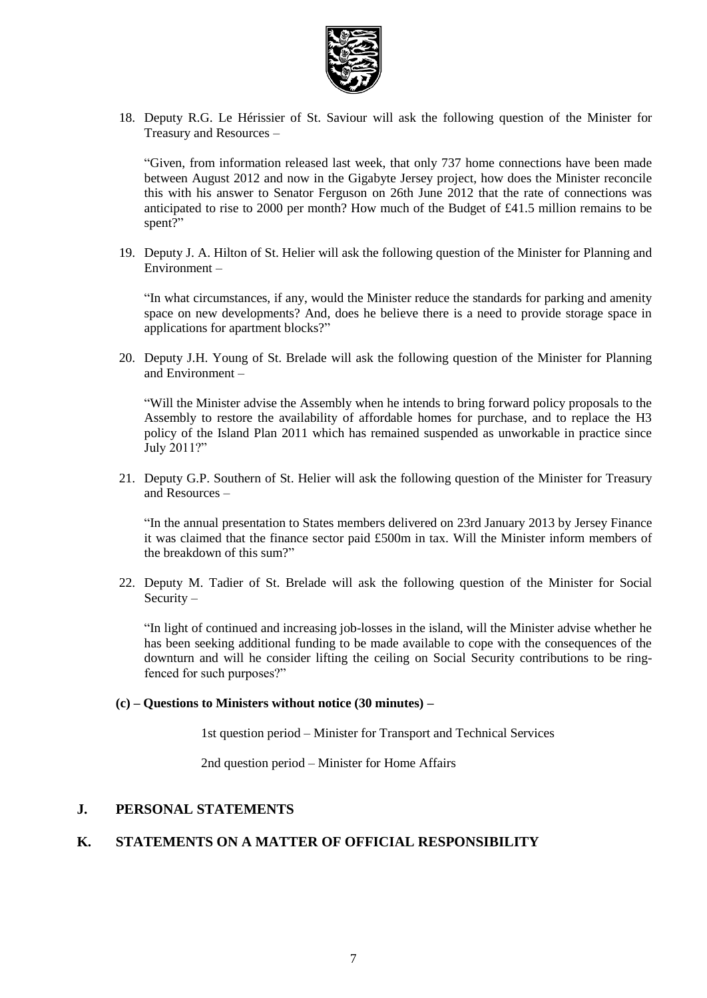

18. Deputy R.G. Le Hérissier of St. Saviour will ask the following question of the Minister for Treasury and Resources –

"Given, from information released last week, that only 737 home connections have been made between August 2012 and now in the Gigabyte Jersey project, how does the Minister reconcile this with his answer to Senator Ferguson on 26th June 2012 that the rate of connections was anticipated to rise to 2000 per month? How much of the Budget of £41.5 million remains to be spent?"

19. Deputy J. A. Hilton of St. Helier will ask the following question of the Minister for Planning and Environment –

"In what circumstances, if any, would the Minister reduce the standards for parking and amenity space on new developments? And, does he believe there is a need to provide storage space in applications for apartment blocks?"

20. Deputy J.H. Young of St. Brelade will ask the following question of the Minister for Planning and Environment –

"Will the Minister advise the Assembly when he intends to bring forward policy proposals to the Assembly to restore the availability of affordable homes for purchase, and to replace the H3 policy of the Island Plan 2011 which has remained suspended as unworkable in practice since July 2011?"

21. Deputy G.P. Southern of St. Helier will ask the following question of the Minister for Treasury and Resources –

"In the annual presentation to States members delivered on 23rd January 2013 by Jersey Finance it was claimed that the finance sector paid £500m in tax. Will the Minister inform members of the breakdown of this sum?"

22. Deputy M. Tadier of St. Brelade will ask the following question of the Minister for Social Security –

"In light of continued and increasing job-losses in the island, will the Minister advise whether he has been seeking additional funding to be made available to cope with the consequences of the downturn and will he consider lifting the ceiling on Social Security contributions to be ringfenced for such purposes?"

#### **(c) – Questions to Ministers without notice (30 minutes) –**

1st question period – Minister for Transport and Technical Services

2nd question period – Minister for Home Affairs

## **J. PERSONAL STATEMENTS**

## **K. STATEMENTS ON A MATTER OF OFFICIAL RESPONSIBILITY**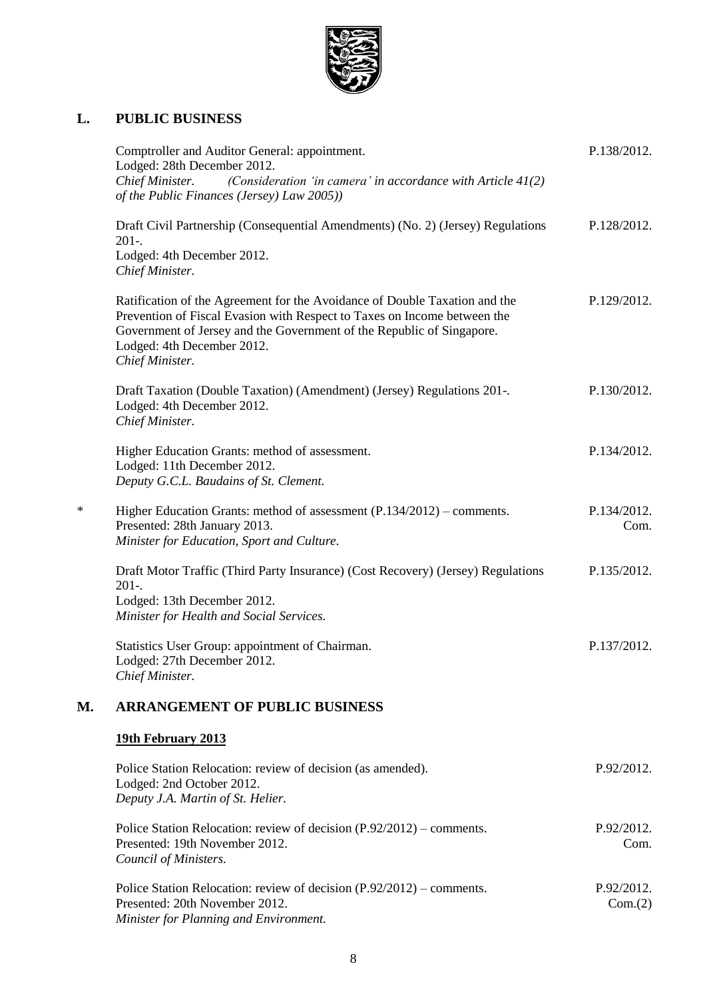

# **L. PUBLIC BUSINESS**

|    | Comptroller and Auditor General: appointment.<br>Lodged: 28th December 2012.<br>Chief Minister.<br>(Consideration 'in camera' in accordance with Article $41(2)$<br>of the Public Finances (Jersey) Law 2005))                                                                   | P.138/2012.           |
|----|----------------------------------------------------------------------------------------------------------------------------------------------------------------------------------------------------------------------------------------------------------------------------------|-----------------------|
|    | Draft Civil Partnership (Consequential Amendments) (No. 2) (Jersey) Regulations<br>$201-.$<br>Lodged: 4th December 2012.<br>Chief Minister.                                                                                                                                      | P.128/2012.           |
|    | Ratification of the Agreement for the Avoidance of Double Taxation and the<br>Prevention of Fiscal Evasion with Respect to Taxes on Income between the<br>Government of Jersey and the Government of the Republic of Singapore.<br>Lodged: 4th December 2012.<br>Chief Minister. | P.129/2012.           |
|    | Draft Taxation (Double Taxation) (Amendment) (Jersey) Regulations 201-.<br>Lodged: 4th December 2012.<br>Chief Minister.                                                                                                                                                         | P.130/2012.           |
|    | Higher Education Grants: method of assessment.<br>Lodged: 11th December 2012.<br>Deputy G.C.L. Baudains of St. Clement.                                                                                                                                                          | P.134/2012.           |
| ∗  | Higher Education Grants: method of assessment (P.134/2012) – comments.<br>Presented: 28th January 2013.<br>Minister for Education, Sport and Culture.                                                                                                                            | P.134/2012.<br>Com.   |
|    | Draft Motor Traffic (Third Party Insurance) (Cost Recovery) (Jersey) Regulations<br>$201-.$<br>Lodged: 13th December 2012.<br>Minister for Health and Social Services.                                                                                                           | P.135/2012.           |
|    | Statistics User Group: appointment of Chairman.<br>Lodged: 27th December 2012.<br>Chief Minister.                                                                                                                                                                                | P.137/2012.           |
| М. | <b>ARRANGEMENT OF PUBLIC BUSINESS</b>                                                                                                                                                                                                                                            |                       |
|    | 19th February 2013                                                                                                                                                                                                                                                               |                       |
|    | Police Station Relocation: review of decision (as amended).<br>Lodged: 2nd October 2012.<br>Deputy J.A. Martin of St. Helier.                                                                                                                                                    | P.92/2012.            |
|    | Police Station Relocation: review of decision (P.92/2012) – comments.<br>Presented: 19th November 2012.<br>Council of Ministers.                                                                                                                                                 | P.92/2012.<br>Com.    |
|    | Police Station Relocation: review of decision (P.92/2012) – comments.<br>Presented: 20th November 2012.<br>Minister for Planning and Environment.                                                                                                                                | P.92/2012.<br>Com.(2) |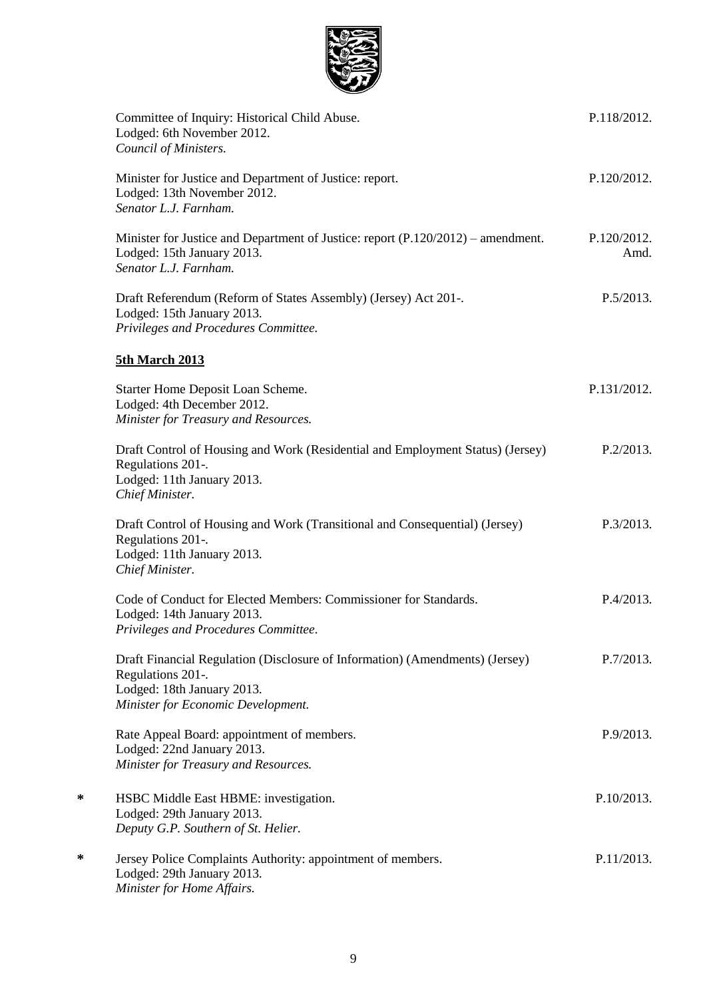

|   | Committee of Inquiry: Historical Child Abuse.<br>Lodged: 6th November 2012.<br>Council of Ministers.                                                                  | P.118/2012.         |
|---|-----------------------------------------------------------------------------------------------------------------------------------------------------------------------|---------------------|
|   | Minister for Justice and Department of Justice: report.<br>Lodged: 13th November 2012.<br>Senator L.J. Farnham.                                                       | P.120/2012.         |
|   | Minister for Justice and Department of Justice: report (P.120/2012) – amendment.<br>Lodged: 15th January 2013.<br>Senator L.J. Farnham.                               | P.120/2012.<br>Amd. |
|   | Draft Referendum (Reform of States Assembly) (Jersey) Act 201-.<br>Lodged: 15th January 2013.<br>Privileges and Procedures Committee.                                 | P.5/2013.           |
|   | <b>5th March 2013</b>                                                                                                                                                 |                     |
|   | Starter Home Deposit Loan Scheme.<br>Lodged: 4th December 2012.<br>Minister for Treasury and Resources.                                                               | P.131/2012.         |
|   | Draft Control of Housing and Work (Residential and Employment Status) (Jersey)<br>Regulations 201-.<br>Lodged: 11th January 2013.<br>Chief Minister.                  | P.2/2013.           |
|   | Draft Control of Housing and Work (Transitional and Consequential) (Jersey)<br>Regulations 201-.<br>Lodged: 11th January 2013.<br>Chief Minister.                     | P.3/2013.           |
|   | Code of Conduct for Elected Members: Commissioner for Standards.<br>Lodged: 14th January 2013.<br>Privileges and Procedures Committee.                                | P.4/2013.           |
|   | Draft Financial Regulation (Disclosure of Information) (Amendments) (Jersey)<br>Regulations 201-.<br>Lodged: 18th January 2013.<br>Minister for Economic Development. | P.7/2013.           |
|   | Rate Appeal Board: appointment of members.<br>Lodged: 22nd January 2013.<br>Minister for Treasury and Resources.                                                      | P.9/2013.           |
| ∗ | HSBC Middle East HBME: investigation.<br>Lodged: 29th January 2013.<br>Deputy G.P. Southern of St. Helier.                                                            | P.10/2013.          |
| ∗ | Jersey Police Complaints Authority: appointment of members.<br>Lodged: 29th January 2013.<br>Minister for Home Affairs.                                               | P.11/2013.          |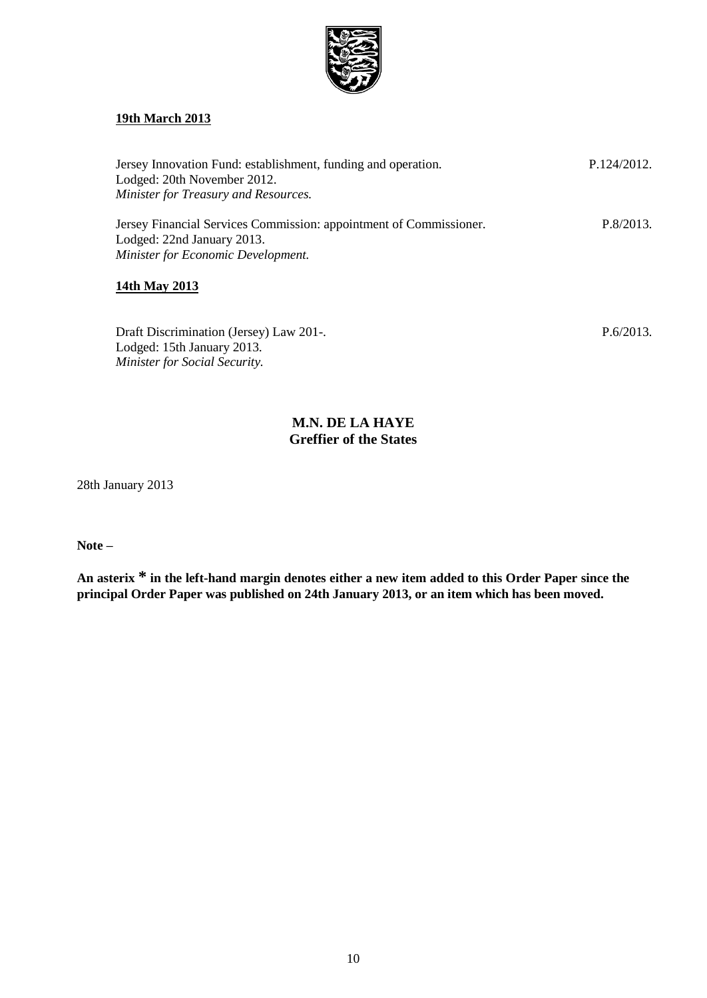

## **19th March 2013**

| Jersey Innovation Fund: establishment, funding and operation.<br>Lodged: 20th November 2012.<br>Minister for Treasury and Resources.   | P.124/2012. |
|----------------------------------------------------------------------------------------------------------------------------------------|-------------|
| Jersey Financial Services Commission: appointment of Commissioner.<br>Lodged: 22nd January 2013.<br>Minister for Economic Development. | P.8/2013.   |

### **14th May 2013**

Draft Discrimination (Jersey) Law 201-. Lodged: 15th January 2013. *Minister for Social Security.*

P.6/2013.

## **M.N. DE LA HAYE Greffier of the States**

28th January 2013

**Note –**

**An asterix \* in the left-hand margin denotes either a new item added to this Order Paper since the principal Order Paper was published on 24th January 2013, or an item which has been moved.**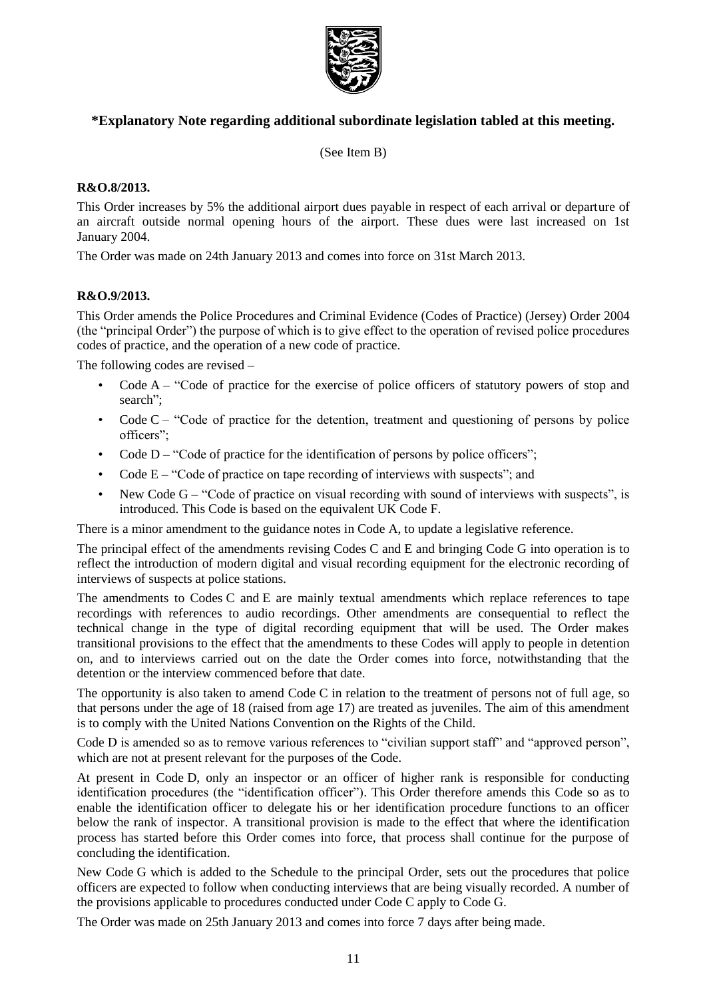

## **\*Explanatory Note regarding additional subordinate legislation tabled at this meeting.**

(See Item B)

### **R&O.8/2013.**

This Order increases by 5% the additional airport dues payable in respect of each arrival or departure of an aircraft outside normal opening hours of the airport. These dues were last increased on 1st January 2004.

The Order was made on 24th January 2013 and comes into force on 31st March 2013.

### **R&O.9/2013.**

This Order amends the Police Procedures and Criminal Evidence (Codes of Practice) (Jersey) Order 2004 (the "principal Order") the purpose of which is to give effect to the operation of revised police procedures codes of practice, and the operation of a new code of practice.

The following codes are revised –

- Code  $A -$  "Code of practice for the exercise of police officers of statutory powers of stop and search";
- Code C "Code of practice for the detention, treatment and questioning of persons by police officers";
- Code  $D -$  "Code of practice for the identification of persons by police officers";
- Code  $E "Code of practice on tape recording of interviews with suspects";$  and
- New Code G "Code of practice on visual recording with sound of interviews with suspects", is introduced. This Code is based on the equivalent UK Code F.

There is a minor amendment to the guidance notes in Code A, to update a legislative reference.

The principal effect of the amendments revising Codes C and E and bringing Code G into operation is to reflect the introduction of modern digital and visual recording equipment for the electronic recording of interviews of suspects at police stations.

The amendments to Codes C and E are mainly textual amendments which replace references to tape recordings with references to audio recordings. Other amendments are consequential to reflect the technical change in the type of digital recording equipment that will be used. The Order makes transitional provisions to the effect that the amendments to these Codes will apply to people in detention on, and to interviews carried out on the date the Order comes into force, notwithstanding that the detention or the interview commenced before that date.

The opportunity is also taken to amend Code C in relation to the treatment of persons not of full age, so that persons under the age of 18 (raised from age 17) are treated as juveniles. The aim of this amendment is to comply with the United Nations Convention on the Rights of the Child.

Code D is amended so as to remove various references to "civilian support staff" and "approved person", which are not at present relevant for the purposes of the Code.

At present in Code D, only an inspector or an officer of higher rank is responsible for conducting identification procedures (the "identification officer"). This Order therefore amends this Code so as to enable the identification officer to delegate his or her identification procedure functions to an officer below the rank of inspector. A transitional provision is made to the effect that where the identification process has started before this Order comes into force, that process shall continue for the purpose of concluding the identification.

New Code G which is added to the Schedule to the principal Order, sets out the procedures that police officers are expected to follow when conducting interviews that are being visually recorded. A number of the provisions applicable to procedures conducted under Code C apply to Code G.

The Order was made on 25th January 2013 and comes into force 7 days after being made.